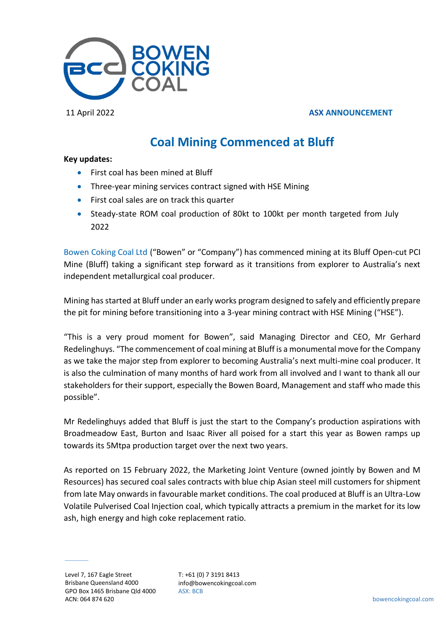

## 11 April 2022 **ASX ANNOUNCEMENT**

# **Coal Mining Commenced at Bluff**

### **Key updates:**

- First coal has been mined at Bluff
- Three-year mining services contract signed with HSE Mining
- First coal sales are on track this quarter
- Steady-state ROM coal production of 80kt to 100kt per month targeted from July 2022

Bowen Coking Coal Ltd ("Bowen" or "Company") has commenced mining at its Bluff Open-cut PCI Mine (Bluff) taking a significant step forward as it transitions from explorer to Australia's next independent metallurgical coal producer.

Mining has started at Bluff under an early works program designed to safely and efficiently prepare the pit for mining before transitioning into a 3-year mining contract with HSE Mining ("HSE").

"This is a very proud moment for Bowen", said Managing Director and CEO, Mr Gerhard Redelinghuys. "The commencement of coal mining at Bluff is a monumental move for the Company as we take the major step from explorer to becoming Australia's next multi-mine coal producer. It is also the culmination of many months of hard work from all involved and I want to thank all our stakeholders for their support, especially the Bowen Board, Management and staff who made this possible".

Mr Redelinghuys added that Bluff is just the start to the Company's production aspirations with Broadmeadow East, Burton and Isaac River all poised for a start this year as Bowen ramps up towards its 5Mtpa production target over the next two years.

As reported on 15 February 2022, the Marketing Joint Venture (owned jointly by Bowen and M Resources) has secured coal sales contracts with blue chip Asian steel mill customers for shipment from late May onwardsin favourable market conditions. The coal produced at Bluff is an Ultra-Low Volatile Pulverised Coal Injection coal, which typically attracts a premium in the market for its low ash, high energy and high coke replacement ratio.

T: +61 (0) 7 3191 8413 info@bowencokingcoal.com ASX: BCB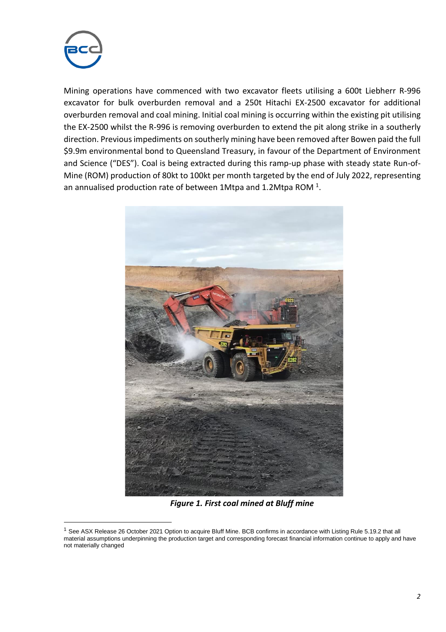

Mining operations have commenced with two excavator fleets utilising a 600t Liebherr R-996 excavator for bulk overburden removal and a 250t Hitachi EX-2500 excavator for additional overburden removal and coal mining. Initial coal mining is occurring within the existing pit utilising the EX-2500 whilst the R-996 is removing overburden to extend the pit along strike in a southerly direction. Previous impediments on southerly mining have been removed after Bowen paid the full \$9.9m environmental bond to Queensland Treasury, in favour of the Department of Environment and Science ("DES"). Coal is being extracted during this ramp-up phase with steady state Run-of-Mine (ROM) production of 80kt to 100kt per month targeted by the end of July 2022, representing an annualised production rate of between 1Mtpa and 1.2Mtpa ROM  $^1$ .



*Figure 1. First coal mined at Bluff mine*

<sup>&</sup>lt;sup>1</sup> See ASX Release 26 October 2021 Option to acquire Bluff Mine. BCB confirms in accordance with Listing Rule 5.19.2 that all material assumptions underpinning the production target and corresponding forecast financial information continue to apply and have not materially changed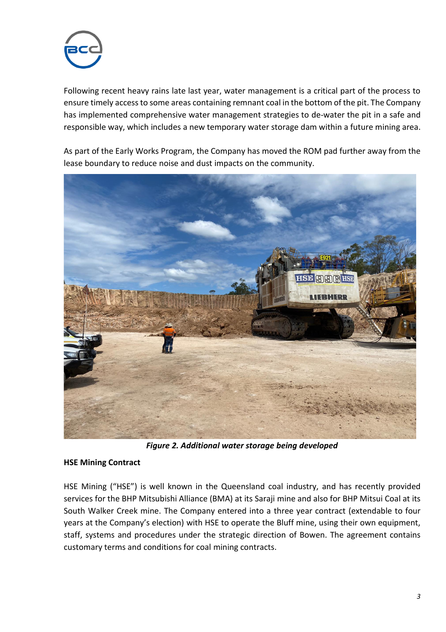

Following recent heavy rains late last year, water management is a critical part of the process to ensure timely access to some areas containing remnant coal in the bottom of the pit. The Company has implemented comprehensive water management strategies to de-water the pit in a safe and responsible way, which includes a new temporary water storage dam within a future mining area.

As part of the Early Works Program, the Company has moved the ROM pad further away from the lease boundary to reduce noise and dust impacts on the community.



*Figure 2. Additional water storage being developed*

# **HSE Mining Contract**

HSE Mining ("HSE") is well known in the Queensland coal industry, and has recently provided services for the BHP Mitsubishi Alliance (BMA) at its Saraji mine and also for BHP Mitsui Coal at its South Walker Creek mine. The Company entered into a three year contract (extendable to four years at the Company's election) with HSE to operate the Bluff mine, using their own equipment, staff, systems and procedures under the strategic direction of Bowen. The agreement contains customary terms and conditions for coal mining contracts.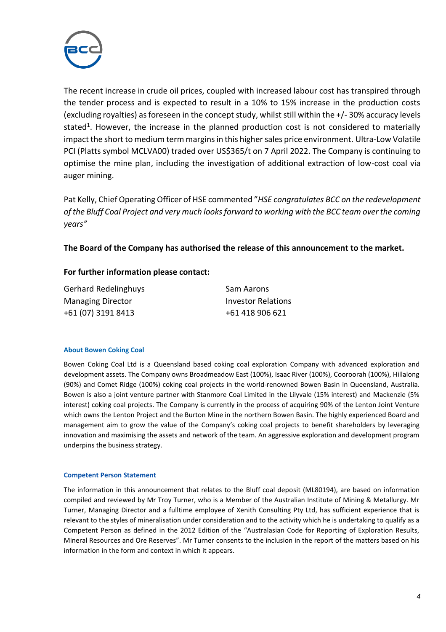

The recent increase in crude oil prices, coupled with increased labour cost has transpired through the tender process and is expected to result in a 10% to 15% increase in the production costs (excluding royalties) as foreseen in the concept study, whilst still within the +/- 30% accuracy levels stated<sup>1</sup>. However, the increase in the planned production cost is not considered to materially impact the short to medium term margins in this higher sales price environment. Ultra-Low Volatile PCI (Platts symbol MCLVA00) traded over US\$365/t on 7 April 2022. The Company is continuing to optimise the mine plan, including the investigation of additional extraction of low-cost coal via auger mining.

Pat Kelly, Chief Operating Officer of HSE commented "*HSE congratulates BCC on the redevelopment of the Bluff Coal Project and very much looks forward to working with the BCC team over the coming years"*

## **The Board of the Company has authorised the release of this announcement to the market.**

## **For further information please contact:**

| Gerhard Redelinghuys     | Sam Aarons         |
|--------------------------|--------------------|
| <b>Managing Director</b> | Investor Relations |
| +61 (07) 3191 8413       | +61 418 906 621    |

#### **About Bowen Coking Coal**

Bowen Coking Coal Ltd is a Queensland based coking coal exploration Company with advanced exploration and development assets. The Company owns Broadmeadow East (100%), Isaac River (100%), Cooroorah (100%), Hillalong (90%) and Comet Ridge (100%) coking coal projects in the world-renowned Bowen Basin in Queensland, Australia. Bowen is also a joint venture partner with Stanmore Coal Limited in the Lilyvale (15% interest) and Mackenzie (5% interest) coking coal projects. The Company is currently in the process of acquiring 90% of the Lenton Joint Venture which owns the Lenton Project and the Burton Mine in the northern Bowen Basin. The highly experienced Board and management aim to grow the value of the Company's coking coal projects to benefit shareholders by leveraging innovation and maximising the assets and network of the team. An aggressive exploration and development program underpins the business strategy.

#### **Competent Person Statement**

The information in this announcement that relates to the Bluff coal deposit (ML80194), are based on information compiled and reviewed by Mr Troy Turner, who is a Member of the Australian Institute of Mining & Metallurgy. Mr Turner, Managing Director and a fulltime employee of Xenith Consulting Pty Ltd, has sufficient experience that is relevant to the styles of mineralisation under consideration and to the activity which he is undertaking to qualify as a Competent Person as defined in the 2012 Edition of the "Australasian Code for Reporting of Exploration Results, Mineral Resources and Ore Reserves". Mr Turner consents to the inclusion in the report of the matters based on his information in the form and context in which it appears.